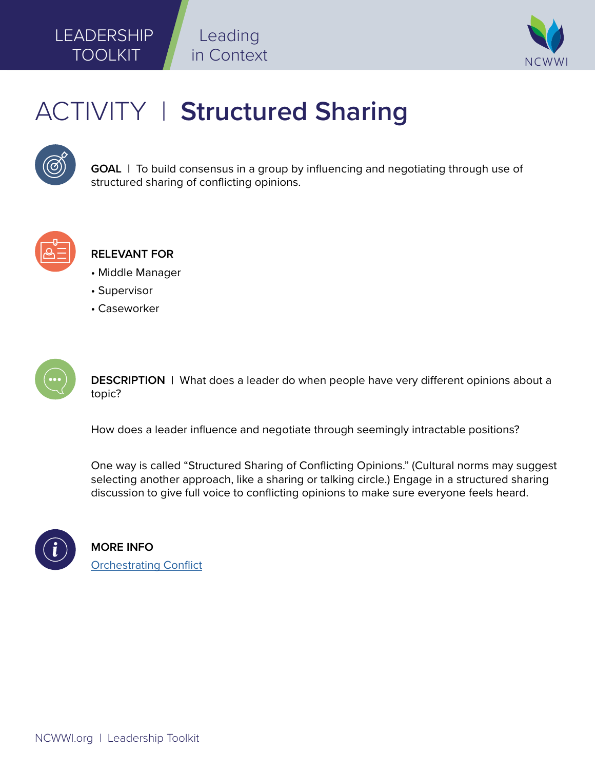

## ACTIVITY | **Structured Sharing**



**GOAL |** To build consensus in a group by influencing and negotiating through use of structured sharing of conflicting opinions.



## **RELEVANT FOR**

- Middle Manager
- Supervisor

LEADERSHIP

TOOLKIT

• Caseworker



**DESCRIPTION** | What does a leader do when people have very different opinions about a topic?

How does a leader influence and negotiate through seemingly intractable positions?

One way is called "Structured Sharing of Conflicting Opinions." (Cultural norms may suggest selecting another approach, like a sharing or talking circle.) Engage in a structured sharing discussion to give full voice to conflicting opinions to make sure everyone feels heard.



**MORE INFO**  [Orchestrating Conflict](http://courses.ncwwi.org/course/view.php?id=56)